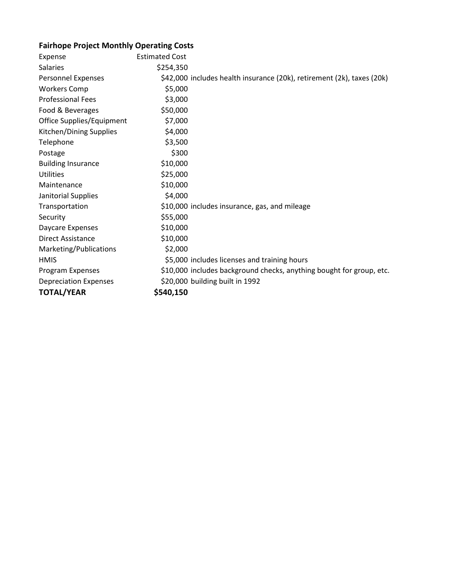## **Fairhope Project Monthly Operating Costs**

| Expense                      | <b>Estimated Cost</b> |                                                                        |
|------------------------------|-----------------------|------------------------------------------------------------------------|
| Salaries                     | \$254,350             |                                                                        |
| <b>Personnel Expenses</b>    |                       | \$42,000 includes health insurance (20k), retirement (2k), taxes (20k) |
| <b>Workers Comp</b>          | \$5,000               |                                                                        |
| <b>Professional Fees</b>     | \$3,000               |                                                                        |
| Food & Beverages             | \$50,000              |                                                                        |
| Office Supplies/Equipment    | \$7,000               |                                                                        |
| Kitchen/Dining Supplies      | \$4,000               |                                                                        |
| Telephone                    | \$3,500               |                                                                        |
| Postage                      | \$300                 |                                                                        |
| <b>Building Insurance</b>    | \$10,000              |                                                                        |
| <b>Utilities</b>             | \$25,000              |                                                                        |
| Maintenance                  | \$10,000              |                                                                        |
| Janitorial Supplies          | \$4,000               |                                                                        |
| Transportation               |                       | \$10,000 includes insurance, gas, and mileage                          |
| Security                     | \$55,000              |                                                                        |
| Daycare Expenses             | \$10,000              |                                                                        |
| <b>Direct Assistance</b>     | \$10,000              |                                                                        |
| Marketing/Publications       | \$2,000               |                                                                        |
| <b>HMIS</b>                  |                       | \$5,000 includes licenses and training hours                           |
| Program Expenses             |                       | \$10,000 includes background checks, anything bought for group, etc.   |
| <b>Depreciation Expenses</b> |                       | \$20,000 building built in 1992                                        |
| <b>TOTAL/YEAR</b>            | \$540,150             |                                                                        |